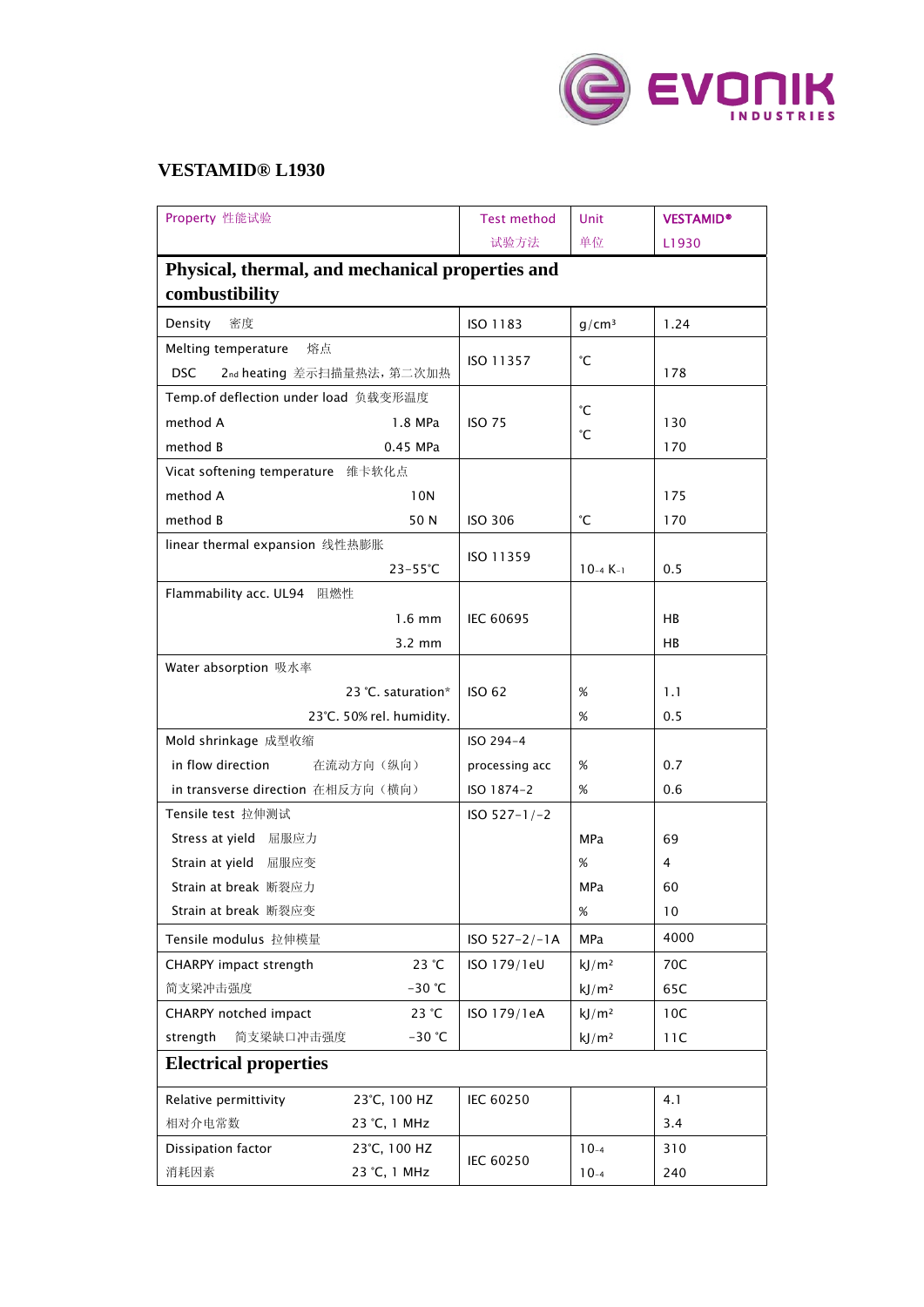

## **VESTAMID® L1930**

| Property 性能试验                                    |                    | <b>Test method</b> | Unit              | <b>VESTAMID®</b> |  |  |  |
|--------------------------------------------------|--------------------|--------------------|-------------------|------------------|--|--|--|
|                                                  |                    | 试验方法               | 单位                | L1930            |  |  |  |
| Physical, thermal, and mechanical properties and |                    |                    |                   |                  |  |  |  |
| combustibility                                   |                    |                    |                   |                  |  |  |  |
| 密度<br>Density                                    |                    | ISO 1183           | q/cm <sup>3</sup> | 1.24             |  |  |  |
| Melting temperature<br>熔点                        |                    | ISO 11357          |                   |                  |  |  |  |
| <b>DSC</b><br>2nd heating 差示扫描量热法, 第二次加热         |                    |                    | °С                | 178              |  |  |  |
| Temp.of deflection under load 负载变形温度             |                    |                    |                   |                  |  |  |  |
| method A                                         | 1.8 MPa            | <b>ISO 75</b>      | °С                | 130              |  |  |  |
| method B                                         | 0.45 MPa           |                    | °С                | 170              |  |  |  |
| Vicat softening temperature 维卡软化点                |                    |                    |                   |                  |  |  |  |
| method A                                         | 10N                |                    |                   | 175              |  |  |  |
| method B                                         | 50 N               | <b>ISO 306</b>     | °С                | 170              |  |  |  |
| linear thermal expansion 线性热膨胀                   |                    |                    |                   |                  |  |  |  |
|                                                  | $23 - 55^{\circ}C$ | ISO 11359          | $10 - 4K - 1$     | 0.5              |  |  |  |
| Flammability acc. UL94 阻燃性                       |                    |                    |                   |                  |  |  |  |
| $1.6 \text{ mm}$                                 |                    | <b>IEC 60695</b>   |                   | HB               |  |  |  |
|                                                  | $3.2 \text{ mm}$   |                    |                   | HB               |  |  |  |
| Water absorption 吸水率                             |                    |                    |                   |                  |  |  |  |
| 23 °C. saturation*                               |                    | <b>ISO 62</b>      | $\%$              | 1.1              |  |  |  |
| 23°C. 50% rel. humidity.                         |                    |                    | %                 | 0.5              |  |  |  |
| Mold shrinkage 成型收缩                              |                    | ISO 294-4          |                   |                  |  |  |  |
| in flow direction<br>在流动方向(纵向)                   |                    | processing acc     | %                 | 0.7              |  |  |  |
| in transverse direction 在相反方向(横向)                |                    | ISO 1874-2         | $\%$              | 0.6              |  |  |  |
| Tensile test 拉伸测试                                |                    | $ISO 527-1/-2$     |                   |                  |  |  |  |
| Stress at yield 屈服应力                             |                    |                    | MPa               | 69               |  |  |  |
| Strain at yield 屈服应变                             |                    |                    | %                 | 4                |  |  |  |
| Strain at break 断裂应力                             |                    |                    | MPa               | 60               |  |  |  |
| Strain at break 断裂应变                             |                    |                    | %                 | 10               |  |  |  |
| Tensile modulus 拉伸模量                             |                    | $ISO 527 - 2/-1A$  | <b>MPa</b>        | 4000             |  |  |  |
| CHARPY impact strength                           | 23 °C              | ISO 179/1eU        | kJ/m <sup>2</sup> | 70C              |  |  |  |
| 简支梁冲击强度                                          | $-30$ °C           |                    | kJ/m <sup>2</sup> | 65C              |  |  |  |
| CHARPY notched impact                            | 23 °C              | ISO 179/1eA        | kJ/m <sup>2</sup> | 10C              |  |  |  |
| strength<br>简支梁缺口冲击强度                            | $-30$ °C           |                    | kJ/m <sup>2</sup> | 11C              |  |  |  |
| <b>Electrical properties</b>                     |                    |                    |                   |                  |  |  |  |
| Relative permittivity                            | 23°C, 100 HZ       | IEC 60250          |                   | 4.1              |  |  |  |
| 相对介电常数                                           | 23 °C, 1 MHz       |                    |                   | 3.4              |  |  |  |
| Dissipation factor                               | 23°C, 100 HZ       |                    | $10-4$            | 310              |  |  |  |
| 消耗因素                                             | 23 °C, 1 MHz       | IEC 60250          | $10-4$            | 240              |  |  |  |